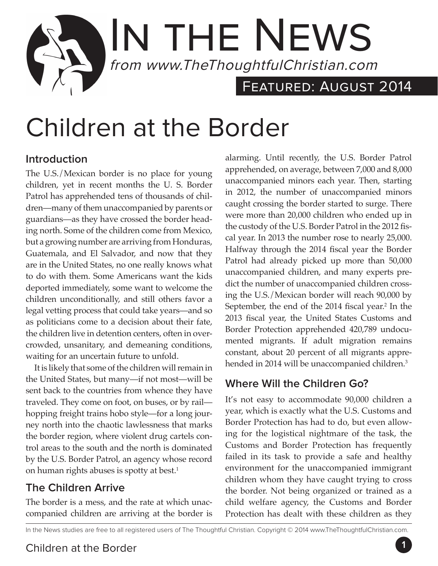

# Children at the Border

#### **Introduction**

The U.S./Mexican border is no place for young children, yet in recent months the U. S. Border Patrol has apprehended tens of thousands of children—many of them unaccompanied by parents or guardians—as they have crossed the border heading north. Some of the children come from Mexico, but a growing number are arriving from Honduras, Guatemala, and El Salvador, and now that they are in the United States, no one really knows what to do with them. Some Americans want the kids deported immediately, some want to welcome the children unconditionally, and still others favor a legal vetting process that could take years—and so as politicians come to a decision about their fate, the children live in detention centers, often in overcrowded, unsanitary, and demeaning conditions, waiting for an uncertain future to unfold.

It is likely that some of the children will remain in the United States, but many—if not most—will be sent back to the countries from whence they have traveled. They come on foot, on buses, or by rail hopping freight trains hobo style—for a long journey north into the chaotic lawlessness that marks the border region, where violent drug cartels control areas to the south and the north is dominated by the U.S. Border Patrol, an agency whose record on human rights abuses is spotty at best.<sup>1</sup>

#### **The Children Arrive**

The border is a mess, and the rate at which unaccompanied children are arriving at the border is

alarming. Until recently, the U.S. Border Patrol apprehended, on average, between 7,000 and 8,000 unaccompanied minors each year. Then, starting in 2012, the number of unaccompanied minors caught crossing the border started to surge. There were more than 20,000 children who ended up in the custody of the U.S. Border Patrol in the 2012 fiscal year. In 2013 the number rose to nearly 25,000. Halfway through the 2014 fiscal year the Border Patrol had already picked up more than 50,000 unaccompanied children, and many experts predict the number of unaccompanied children crossing the U.S./Mexican border will reach 90,000 by September, the end of the 2014 fiscal year.<sup>2</sup> In the 2013 fiscal year, the United States Customs and Border Protection apprehended 420,789 undocumented migrants. If adult migration remains constant, about 20 percent of all migrants apprehended in 2014 will be unaccompanied children.<sup>3</sup>

#### **Where Will the Children Go?**

It's not easy to accommodate 90,000 children a year, which is exactly what the U.S. Customs and Border Protection has had to do, but even allowing for the logistical nightmare of the task, the Customs and Border Protection has frequently failed in its task to provide a safe and healthy environment for the unaccompanied immigrant children whom they have caught trying to cross the border. Not being organized or trained as a child welfare agency, the Customs and Border Protection has dealt with these children as they

In the News studies are free to all registered users of The Thoughtful Christian. Copyright © 2014 www.TheThoughtfulChristian.com.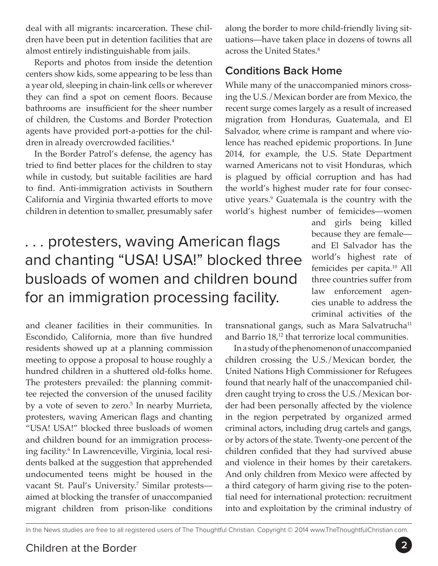deal with all migrants: incarceration. These children have been put in detention facilities that are almost entirely indistinguishable from jails.

Reports and photos from inside the detention centers show kids, some appearing to be less than a year old, sleeping in chain-link cells or wherever they can find a spot on cement floors. Because bathrooms are insufficient for the sheer number of children, the Customs and Border Protection agents have provided port-a-potties for the children in already overcrowded facilities.<sup>4</sup>

In the Border Patrol's defense, the agency has tried to find better places for the children to stay while in custody, but suitable facilities are hard to find. Anti-immigration activists in Southern California and Virginia thwarted efforts to move children in detention to smaller, presumably safer

. . . protesters, waving American flags and chanting "USA! USA!" blocked three busloads of women and children bound for an immigration processing facility.

and cleaner facilities in their communities. In Escondido, California, more than five hundred residents showed up at a planning commission meeting to oppose a proposal to house roughly a hundred children in a shuttered old-folks home. The protesters prevailed: the planning committee rejected the conversion of the unused facility by a vote of seven to zero.<sup>5</sup> In nearby Murrieta, protesters, waving American flags and chanting "USA! USA!" blocked three busloads of women and children bound for an immigration processing facility.6 In Lawrenceville, Virginia, local residents balked at the suggestion that apprehended undocumented teens might be housed in the vacant St. Paul's University.<sup>7</sup> Similar protestsaimed at blocking the transfer of unaccompanied migrant children from prison-like conditions

along the border to more child-friendly living situations—have taken place in dozens of towns all across the United States.8

#### **Conditions Back Home**

While many of the unaccompanied minors crossing the U.S./Mexican border are from Mexico, the recent surge comes largely as a result of increased migration from Honduras, Guatemala, and El Salvador, where crime is rampant and where violence has reached epidemic proportions. In June 2014, for example, the U.S. State Department warned Americans not to visit Honduras, which is plagued by official corruption and has had the world's highest muder rate for four consecutive years.9 Guatemala is the country with the world's highest number of femicides—women

> and girls being killed because they are female and El Salvador has the world's highest rate of femicides per capita.10 All three countries suffer from law enforcement agencies unable to address the criminal activities of the

transnational gangs, such as Mara Salvatrucha<sup>11</sup> and Barrio  $18<sub>12</sub>$ <sup>12</sup> that terrorize local communities.

In a study of the phenomenon of unaccompanied children crossing the U.S./Mexican border, the United Nations High Commissioner for Refugees found that nearly half of the unaccompanied children caught trying to cross the U.S./Mexican border had been personally affected by the violence in the region perpetrated by organized armed criminal actors, including drug cartels and gangs, or by actors of the state. Twenty-one percent of the children confided that they had survived abuse and violence in their homes by their caretakers. And only children from Mexico were affected by a third category of harm giving rise to the potential need for international protection: recruitment into and exploitation by the criminal industry of

In the News studies are free to all registered users of The Thoughtful Christian. Copyright © 2014 www.TheThoughtfulChristian.com.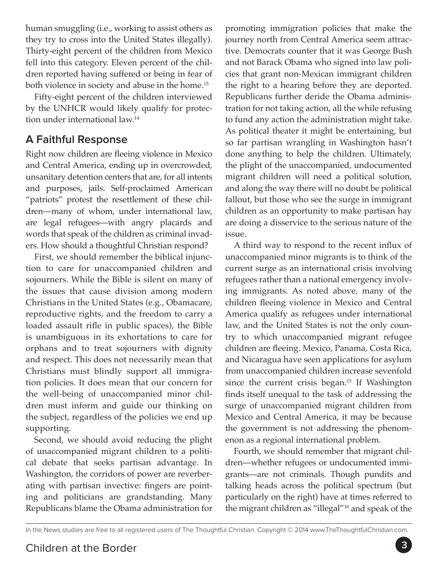human smuggling (i.e., working to assist others as they try to cross into the United States illegally). Thirty-eight percent of the children from Mexico fell into this category. Eleven percent of the children reported having suffered or being in fear of both violence in society and abuse in the home.<sup>13</sup>

Fifty-eight percent of the children interviewed by the UNHCR would likely qualify for protection under international law.14

### **A Faithful Response**

Right now children are fleeing violence in Mexico and Central America, ending up in overcrowded, unsanitary detention centers that are, for all intents and purposes, jails. Self-proclaimed American "patriots" protest the resettlement of these children—many of whom, under international law, are legal refugees—with angry placards and words that speak of the children as criminal invaders. How should a thoughtful Christian respond?

First, we should remember the biblical injunction to care for unaccompanied children and sojourners. While the Bible is silent on many of the issues that cause division among modern Christians in the United States (e.g., Obamacare, reproductive rights, and the freedom to carry a loaded assault rifle in public spaces), the Bible is unambiguous in its exhortations to care for orphans and to treat sojourners with dignity and respect. This does not necessarily mean that Christians must blindly support all immigration policies. It does mean that our concern for the well-being of unaccompanied minor children must inform and guide our thinking on the subject, regardless of the policies we end up supporting.

Second, we should avoid reducing the plight of unaccompanied migrant children to a political debate that seeks partisan advantage. In Washington, the corridors of power are reverberating with partisan invective: fingers are pointing and politicians are grandstanding. Many Republicans blame the Obama administration for promoting immigration policies that make the journey north from Central America seem attractive. Democrats counter that it was George Bush and not Barack Obama who signed into law policies that grant non-Mexican immigrant children the right to a hearing before they are deported. Republicans further deride the Obama administration for not taking action, all the while refusing to fund any action the administration might take. As political theater it might be entertaining, but so far partisan wrangling in Washington hasn't done anything to help the children. Ultimately, the plight of the unaccompanied, undocumented migrant children will need a political solution, and along the way there will no doubt be political fallout, but those who see the surge in immigrant children as an opportunity to make partisan hay are doing a disservice to the serious nature of the issue.

A third way to respond to the recent influx of unaccompanied minor migrants is to think of the current surge as an international crisis involving refugees rather than a national emergency involving immigrants. As noted above, many of the children fleeing violence in Mexico and Central America qualify as refugees under international law, and the United States is not the only country to which unaccompanied migrant refugee children are fleeing. Mexico, Panama, Costa Rica, and Nicaragua have seen applications for asylum from unaccompanied children increase sevenfold since the current crisis began. $15$  If Washington finds itself unequal to the task of addressing the surge of unaccompanied migrant children from Mexico and Central America, it may be because the government is not addressing the phenomenon as a regional international problem.

Fourth, we should remember that migrant children—whether refugees or undocumented immigrants—are not criminals. Though pundits and talking heads across the political spectrum (but particularly on the right) have at times referred to the migrant children as "illegal"16 and speak of the

In the News studies are free to all registered users of The Thoughtful Christian. Copyright © 2014 www.TheThoughtfulChristian.com.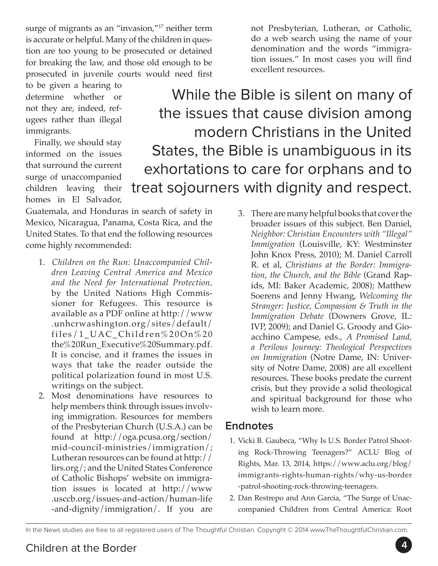surge of migrants as an "invasion,"<sup>17</sup> neither term is accurate or helpful. Many of the children in question are too young to be prosecuted or detained for breaking the law, and those old enough to be prosecuted in juvenile courts would need first

to be given a hearing to determine whether or not they are, indeed, refugees rather than illegal immigrants.

Finally, we should stay informed on the issues that surround the current surge of unaccompanied children leaving their homes in El Salvador,

While the Bible is silent on many of the issues that cause division among modern Christians in the United States, the Bible is unambiguous in its exhortations to care for orphans and to treat sojourners with dignity and respect.

Guatemala, and Honduras in search of safety in Mexico, Nicaragua, Panama, Costa Rica, and the United States. To that end the following resources come highly recommended:

- 1. *Children on the Run: Unaccompanied Children Leaving Central America and Mexico and the Need for International Protection,*  by the United Nations High Commissioner for Refugees. This resource is available as a PDF online at http://www .unhcrwashington.org/sites/default/ files/1\_UAC\_Children%20On%20 the%20Run\_Executive%20Summary.pdf. It is concise, and it frames the issues in ways that take the reader outside the political polarization found in most U.S. writings on the subject.
- 2. Most denominations have resources to help members think through issues involving immigration. Resources for members of the Presbyterian Church (U.S.A.) can be found at http://oga.pcusa.org/section/ mid-council-ministries/immigration/; Lutheran resources can be found at http:// lirs.org/; and the United States Conference of Catholic Bishops' website on immigration issues is located at http://www .usccb.org/issues-and-action/human-life -and-dignity/immigration/. If you are
- 3. There are many helpful books that cover the broader issues of this subject. Ben Daniel, *Neighbor: Christian Encounters with "Illegal" Immigration* (Louisville, KY: Westminster John Knox Press, 2010); M. Daniel Carroll R. et al, *Christians at the Border: Immigration, the Church, and the Bible* (Grand Rapids, MI: Baker Academic, 2008); Matthew Soerens and Jenny Hwang, *Welcoming the Stranger: Justice, Compassion & Truth in the Immigration Debate* (Downers Grove, IL: IVP, 2009); and Daniel G. Groody and Gioacchino Campese, eds., *A Promised Land, a Perilous Journey: Theological Perspectives on Immigration* (Notre Dame, IN: University of Notre Dame, 2008) are all excellent resources. These books predate the current crisis, but they provide a solid theological and spiritual background for those who wish to learn more.

#### **Endnotes**

- 1. Vicki B. Gaubeca, "Why Is U.S. Border Patrol Shooting Rock-Throwing Teenagers?" ACLU Blog of Rights, Mar. 13, 2014, https://www.aclu.org/blog/ immigrants-rights-human-rights/why-us-border -patrol-shooting-rock-throwing-teenagers.
- 2. Dan Restrepo and Ann Garcia, "The Surge of Unaccompanied Children from Central America: Root

In the News studies are free to all registered users of The Thoughtful Christian. Copyright © 2014 www.TheThoughtfulChristian.com.

not Presbyterian, Lutheran, or Catholic, do a web search using the name of your denomination and the words "immigration issues." In most cases you will find excellent resources.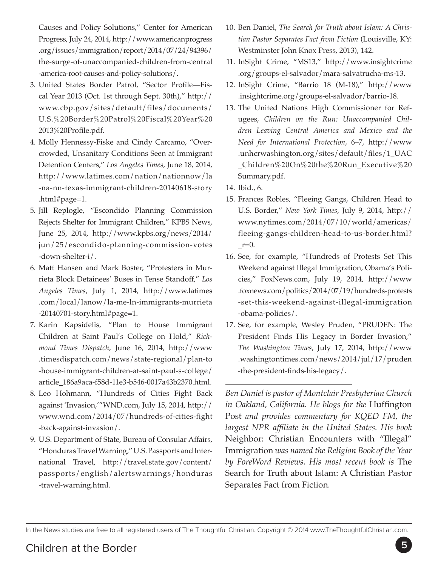Causes and Policy Solutions," Center for American Progress, July 24, 2014, http://www.americanprogress .org/issues/immigration/report/2014/07/24/94396/ the-surge-of-unaccompanied-children-from-central -america-root-causes-and-policy-solutions/.

- 3. United States Border Patrol, "Sector Profile—Fiscal Year 2013 (Oct. 1st through Sept. 30th)," http:// www.cbp.gov/sites/default/files/documents/ U.S.%20Border%20Patrol%20Fiscal%20Year%20 2013%20Profile.pdf.
- 4. Molly Hennessy-Fiske and Cindy Carcamo, "Overcrowded, Unsanitary Conditions Seen at Immigrant Detention Centers," *Los Angeles Times*, June 18, 2014, http://www.latimes.com/nation/nationnow/la -na-nn-texas-immigrant-children-20140618-story .html#page=1.
- 5. [Jill Replogle](http://www.kpbs.org/staff/jill-replogle/), "Escondido Planning Commission Rejects Shelter for Immigrant Children," KPBS News, June 25, 2014, http://www.kpbs.org/news/2014/ jun/25/escondido-planning-commission-votes -down-shelter-i/.
- 6. Matt Hansen and Mark Boster, "Protesters in Murrieta Block Detainees' Buses in Tense Standoff," *Los Angeles Times*, July 1, 2014, http://www.latimes .com/local/lanow/la-me-ln-immigrants-murrieta -20140701-story.html#page=1.
- 7. Karin Kapsidelis, "Plan to House Immigrant Children at Saint Paul's College on Hold," *Richmond Times Dispatch*, June 16, 2014, http://www .timesdispatch.com/news/state-regional/plan-to -house-immigrant-children-at-saint-paul-s-college/ article\_186a9aca-f58d-11e3-b546-0017a43b2370.html.
- 8. Leo Hohmann, "Hundreds of Cities Fight Back against 'Invasion,'"WND.com, July 15, 2014, http:// www.wnd.com/2014/07/hundreds-of-cities-fight -back-against-invasion/.
- 9. U.S. Department of State, Bureau of Consular Affairs, "Honduras Travel Warning," U.S. Passports and International Travel, http://travel.state.gov/content/ passports/english/alertswarnings/honduras -travel-warning.html.
- 10. Ben Daniel, *The Search for Truth about Islam: A Christian Pastor Separates Fact from Fiction* (Louisville, KY: Westminster John Knox Press, 2013), 142.
- 11. InSight Crime, "MS13," http://www.insightcrime .org/groups-el-salvador/mara-salvatrucha-ms-13.
- 12. InSight Crime, "Barrio 18 (M-18)," http://www .insightcrime.org/groups-el-salvador/barrio-18.
- 13. The United Nations High Commissioner for Refugees, *Children on the Run: Unaccompanied Children Leaving Central America and Mexico and the Need for International Protection*, 6–7, http://www .unhcrwashington.org/sites/default/files/1\_UAC \_Children%20On%20the%20Run\_Executive%20 Summary.pdf.
- 14. Ibid., 6.
- 15. Frances Robles, "Fleeing Gangs, Children Head to U.S. Border," *New York Times*, July 9, 2014, http:// www.nytimes.com/2014/07/10/world/americas/ fleeing-gangs-children-head-to-us-border.html?  $r=0$ .
- 16. See, for example, "Hundreds of Protests Set This Weekend against Illegal Immigration, Obama's Policies," FoxNews.com, July 19, 2014, http://www .foxnews.com/politics/2014/07/19/hundreds-protests -set-this-weekend-against-illegal-immigration -obama-policies/.
- 17. See, for example, Wesley Pruden, "PRUDEN: The President Finds His Legacy in Border Invasion," *The Washington Times*, July 17, 2014, http://www .washingtontimes.com/news/2014/jul/17/pruden -the-president-finds-his-legacy/.

*Ben Daniel is pastor of Montclair Presbyterian Church in Oakland, California. He blogs for the* Huffington Post *and provides commentary for KQED FM, the largest NPR affiliate in the United States. His book*  Neighbor: Christian Encounters with "Illegal" Immigration *was named the Religion Book of the Year by ForeWord Reviews. His most recent book is* The Search for Truth about Islam: A Christian Pastor Separates Fact from Fiction*.*

In the News studies are free to all registered users of The Thoughtful Christian. Copyright © 2014 www.TheThoughtfulChristian.com.